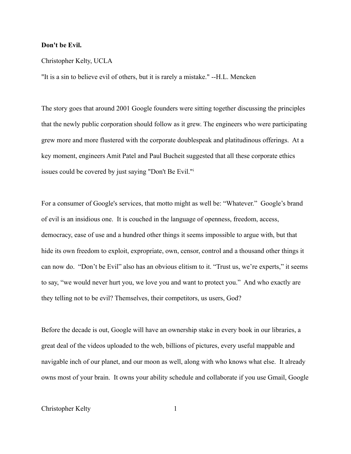## **Don't be Evil.**

## Christopher Kelty, UCLA

"It is a sin to believe evil of others, but it is rarely a mistake." --H.L. Mencken

The story goes that around 2001 Google founders were sitting together discussing the principles that the newly public corporation should follow as it grew. The engineers who were participating grew more and more flustered with the corporate doublespeak and platitudinous offerings. At a key moment, engineers Amit Patel and Paul Bucheit suggested that all these corporate ethics issues could be covered by just saying "Don't Be Evil."[i](#page-13-0)

For a consumer of Google's services, that motto might as well be: "Whatever." Google's brand of evil is an insidious one. It is couched in the language of openness, freedom, access, democracy, ease of use and a hundred other things it seems impossible to argue with, but that hide its own freedom to exploit, expropriate, own, censor, control and a thousand other things it can now do. "Don't be Evil" also has an obvious elitism to it. "Trust us, we're experts," it seems to say, "we would never hurt you, we love you and want to protect you." And who exactly are they telling not to be evil? Themselves, their competitors, us users, God?

Before the decade is out, Google will have an ownership stake in every book in our libraries, a great deal of the videos uploaded to the web, billions of pictures, every useful mappable and navigable inch of our planet, and our moon as well, along with who knows what else. It already owns most of your brain. It owns your ability schedule and collaborate if you use Gmail, Google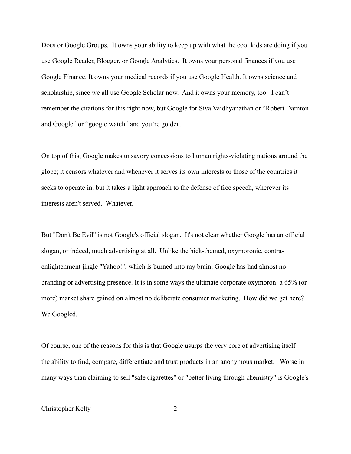Docs or Google Groups. It owns your ability to keep up with what the cool kids are doing if you use Google Reader, Blogger, or Google Analytics. It owns your personal finances if you use Google Finance. It owns your medical records if you use Google Health. It owns science and scholarship, since we all use Google Scholar now. And it owns your memory, too. I can't remember the citations for this right now, but Google for Siva Vaidhyanathan or "Robert Darnton and Google" or "google watch" and you're golden.

On top of this, Google makes unsavory concessions to human rights-violating nations around the globe; it censors whatever and whenever it serves its own interests or those of the countries it seeks to operate in, but it takes a light approach to the defense of free speech, wherever its interests aren't served. Whatever.

But "Don't Be Evil" is not Google's official slogan. It's not clear whether Google has an official slogan, or indeed, much advertising at all. Unlike the hick-themed, oxymoronic, contraenlightenment jingle "Yahoo!", which is burned into my brain, Google has had almost no branding or advertising presence. It is in some ways the ultimate corporate oxymoron: a 65% (or more) market share gained on almost no deliberate consumer marketing. How did we get here? We Googled.

Of course, one of the reasons for this is that Google usurps the very core of advertising itself the ability to find, compare, differentiate and trust products in an anonymous market. Worse in many ways than claiming to sell "safe cigarettes" or "better living through chemistry" is Google's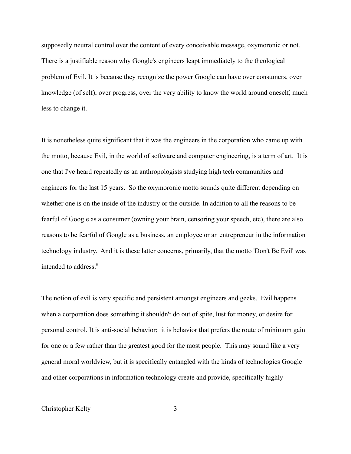supposedly neutral control over the content of every conceivable message, oxymoronic or not. There is a justifiable reason why Google's engineers leapt immediately to the theological problem of Evil. It is because they recognize the power Google can have over consumers, over knowledge (of self), over progress, over the very ability to know the world around oneself, much less to change it.

It is nonetheless quite significant that it was the engineers in the corporation who came up with the motto, because Evil, in the world of software and computer engineering, is a term of art. It is one that I've heard repeatedly as an anthropologists studying high tech communities and engineers for the last 15 years. So the oxymoronic motto sounds quite different depending on whether one is on the inside of the industry or the outside. In addition to all the reasons to be fearful of Google as a consumer (owning your brain, censoring your speech, etc), there are also reasons to be fearful of Google as a business, an employee or an entrepreneur in the information technology industry. And it is these latter concerns, primarily, that the motto 'Don't Be Evil' was intended to address.<sup>[ii](#page-13-1)</sup>

The notion of evil is very specific and persistent amongst engineers and geeks. Evil happens when a corporation does something it shouldn't do out of spite, lust for money, or desire for personal control. It is anti-social behavior; it is behavior that prefers the route of minimum gain for one or a few rather than the greatest good for the most people. This may sound like a very general moral worldview, but it is specifically entangled with the kinds of technologies Google and other corporations in information technology create and provide, specifically highly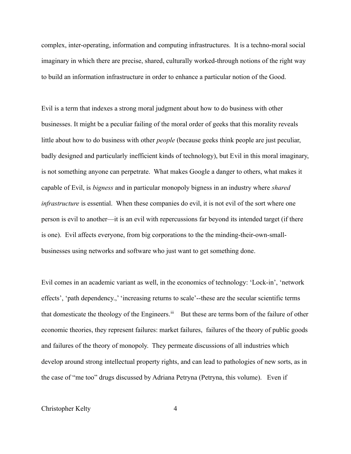complex, inter-operating, information and computing infrastructures. It is a techno-moral social imaginary in which there are precise, shared, culturally worked-through notions of the right way to build an information infrastructure in order to enhance a particular notion of the Good.

Evil is a term that indexes a strong moral judgment about how to do business with other businesses. It might be a peculiar failing of the moral order of geeks that this morality reveals little about how to do business with other *people* (because geeks think people are just peculiar, badly designed and particularly inefficient kinds of technology), but Evil in this moral imaginary, is not something anyone can perpetrate. What makes Google a danger to others, what makes it capable of Evil, is *bigness* and in particular monopoly bigness in an industry where *shared infrastructure* is essential. When these companies do evil, it is not evil of the sort where one person is evil to another—it is an evil with repercussions far beyond its intended target (if there is one). Evil affects everyone, from big corporations to the the minding-their-own-smallbusinesses using networks and software who just want to get something done.

Evil comes in an academic variant as well, in the economics of technology: 'Lock-in', 'network effects', 'path dependency.,' 'increasing returns to scale'--these are the secular scientific terms that domesticate the theology of the Engineers.<sup>[iii](#page-13-2)</sup> But these are terms born of the failure of other economic theories, they represent failures: market failures, failures of the theory of public goods and failures of the theory of monopoly. They permeate discussions of all industries which develop around strong intellectual property rights, and can lead to pathologies of new sorts, as in the case of "me too" drugs discussed by Adriana Petryna (Petryna, this volume). Even if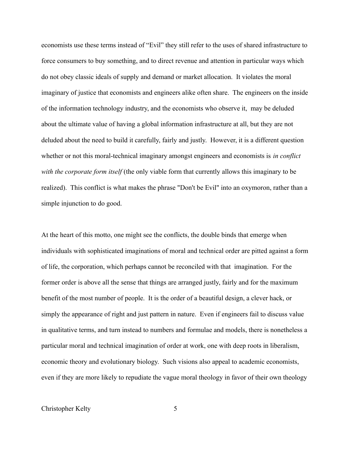economists use these terms instead of "Evil" they still refer to the uses of shared infrastructure to force consumers to buy something, and to direct revenue and attention in particular ways which do not obey classic ideals of supply and demand or market allocation. It violates the moral imaginary of justice that economists and engineers alike often share. The engineers on the inside of the information technology industry, and the economists who observe it, may be deluded about the ultimate value of having a global information infrastructure at all, but they are not deluded about the need to build it carefully, fairly and justly. However, it is a different question whether or not this moral-technical imaginary amongst engineers and economists is *in conflict with the corporate form itself* (the only viable form that currently allows this imaginary to be realized). This conflict is what makes the phrase "Don't be Evil" into an oxymoron, rather than a simple injunction to do good.

At the heart of this motto, one might see the conflicts, the double binds that emerge when individuals with sophisticated imaginations of moral and technical order are pitted against a form of life, the corporation, which perhaps cannot be reconciled with that imagination. For the former order is above all the sense that things are arranged justly, fairly and for the maximum benefit of the most number of people. It is the order of a beautiful design, a clever hack, or simply the appearance of right and just pattern in nature. Even if engineers fail to discuss value in qualitative terms, and turn instead to numbers and formulae and models, there is nonetheless a particular moral and technical imagination of order at work, one with deep roots in liberalism, economic theory and evolutionary biology. Such visions also appeal to academic economists, even if they are more likely to repudiate the vague moral theology in favor of their own theology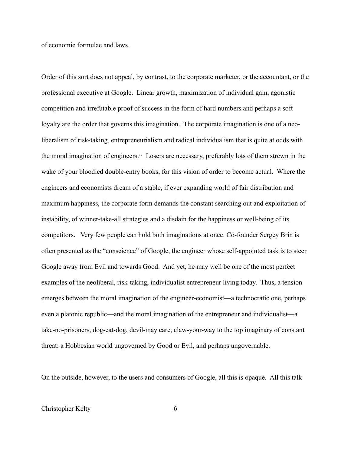of economic formulae and laws.

Order of this sort does not appeal, by contrast, to the corporate marketer, or the accountant, or the professional executive at Google. Linear growth, maximization of individual gain, agonistic competition and irrefutable proof of success in the form of hard numbers and perhaps a soft loyalty are the order that governs this imagination. The corporate imagination is one of a neoliberalism of risk-taking, entrepreneurialism and radical individualism that is quite at odds with the moral imagination of engineers.[iv](#page-13-3) Losers are necessary, preferably lots of them strewn in the wake of your bloodied double-entry books, for this vision of order to become actual. Where the engineers and economists dream of a stable, if ever expanding world of fair distribution and maximum happiness, the corporate form demands the constant searching out and exploitation of instability, of winner-take-all strategies and a disdain for the happiness or well-being of its competitors. Very few people can hold both imaginations at once. Co-founder Sergey Brin is often presented as the "conscience" of Google, the engineer whose self-appointed task is to steer Google away from Evil and towards Good. And yet, he may well be one of the most perfect examples of the neoliberal, risk-taking, individualist entrepreneur living today. Thus, a tension emerges between the moral imagination of the engineer-economist—a technocratic one, perhaps even a platonic republic—and the moral imagination of the entrepreneur and individualist—a take-no-prisoners, dog-eat-dog, devil-may care, claw-your-way to the top imaginary of constant threat; a Hobbesian world ungoverned by Good or Evil, and perhaps ungovernable.

On the outside, however, to the users and consumers of Google, all this is opaque. All this talk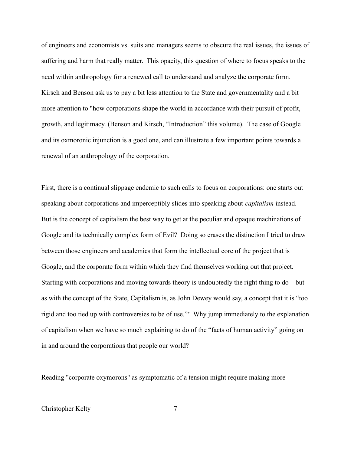of engineers and economists vs. suits and managers seems to obscure the real issues, the issues of suffering and harm that really matter. This opacity, this question of where to focus speaks to the need within anthropology for a renewed call to understand and analyze the corporate form. Kirsch and Benson ask us to pay a bit less attention to the State and governmentality and a bit more attention to "how corporations shape the world in accordance with their pursuit of profit, growth, and legitimacy. (Benson and Kirsch, "Introduction" this volume). The case of Google and its oxmoronic injunction is a good one, and can illustrate a few important points towards a renewal of an anthropology of the corporation.

First, there is a continual slippage endemic to such calls to focus on corporations: one starts out speaking about corporations and imperceptibly slides into speaking about *capitalism* instead. But is the concept of capitalism the best way to get at the peculiar and opaque machinations of Google and its technically complex form of Evil? Doing so erases the distinction I tried to draw between those engineers and academics that form the intellectual core of the project that is Google, and the corporate form within which they find themselves working out that project. Starting with corporations and moving towards theory is undoubtedly the right thing to do—but as with the concept of the State, Capitalism is, as John Dewey would say, a concept that it is "too rigid and too tied up with controversies to be of use."[v](#page-13-4) Why jump immediately to the explanation of capitalism when we have so much explaining to do of the "facts of human activity" going on in and around the corporations that people our world?

Reading "corporate oxymorons" as symptomatic of a tension might require making more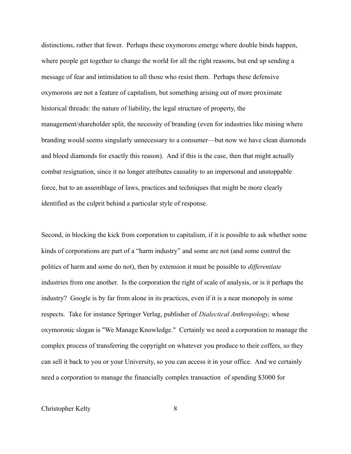distinctions, rather that fewer. Perhaps these oxymorons emerge where double binds happen, where people get together to change the world for all the right reasons, but end up sending a message of fear and intimidation to all those who resist them. Perhaps these defensive oxymorons are not a feature of capitalism, but something arising out of more proximate historical threads: the nature of liability, the legal structure of property, the management/shareholder split, the necessity of branding (even for industries like mining where branding would seems singularly unnecessary to a consumer—but now we have clean diamonds and blood diamonds for exactly this reason). And if this is the case, then that might actually combat resignation, since it no longer attributes causality to an impersonal and unstoppable force, but to an assemblage of laws, practices and techniques that might be more clearly identified as the culprit behind a particular style of response.

Second, in blocking the kick from corporation to capitalism, if it is possible to ask whether some kinds of corporations are part of a "harm industry" and some are not (and some control the politics of harm and some do not), then by extension it must be possible to *differentiate* industries from one another. Is the corporation the right of scale of analysis, or is it perhaps the industry? Google is by far from alone in its practices, even if it is a near monopoly in some respects. Take for instance Springer Verlag, publisher of *Dialectical Anthropology,* whose oxymoronic slogan is "We Manage Knowledge." Certainly we need a corporation to manage the complex process of transferring the copyright on whatever you produce to their coffers, so they can sell it back to you or your University, so you can access it in your office. And we certainly need a corporation to manage the financially complex transaction of spending \$3000 for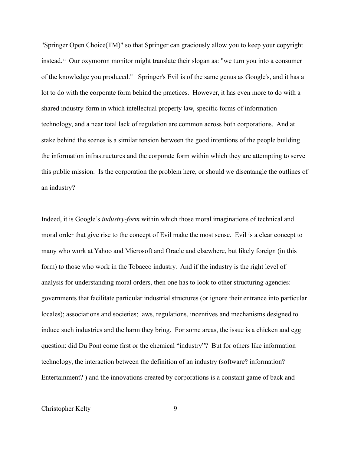"Springer Open Choice(TM)" so that Springer can graciously allow you to keep your copyright instead.<sup>[vi](#page-13-5)</sup> Our oxymoron monitor might translate their slogan as: "we turn you into a consumer of the knowledge you produced." Springer's Evil is of the same genus as Google's, and it has a lot to do with the corporate form behind the practices. However, it has even more to do with a shared industry-form in which intellectual property law, specific forms of information technology, and a near total lack of regulation are common across both corporations. And at stake behind the scenes is a similar tension between the good intentions of the people building the information infrastructures and the corporate form within which they are attempting to serve this public mission. Is the corporation the problem here, or should we disentangle the outlines of an industry?

Indeed, it is Google's *industry-form* within which those moral imaginations of technical and moral order that give rise to the concept of Evil make the most sense. Evil is a clear concept to many who work at Yahoo and Microsoft and Oracle and elsewhere, but likely foreign (in this form) to those who work in the Tobacco industry. And if the industry is the right level of analysis for understanding moral orders, then one has to look to other structuring agencies: governments that facilitate particular industrial structures (or ignore their entrance into particular locales); associations and societies; laws, regulations, incentives and mechanisms designed to induce such industries and the harm they bring. For some areas, the issue is a chicken and egg question: did Du Pont come first or the chemical "industry"? But for others like information technology, the interaction between the definition of an industry (software? information? Entertainment? ) and the innovations created by corporations is a constant game of back and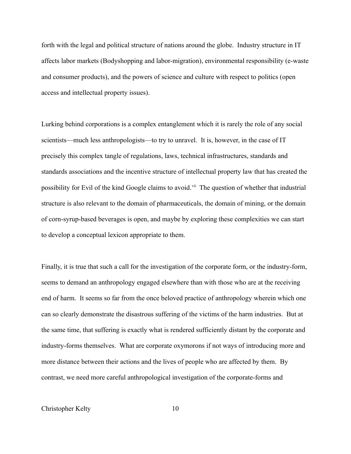forth with the legal and political structure of nations around the globe. Industry structure in IT affects labor markets (Bodyshopping and labor-migration), environmental responsibility (e-waste and consumer products), and the powers of science and culture with respect to politics (open access and intellectual property issues).

Lurking behind corporations is a complex entanglement which it is rarely the role of any social scientists—much less anthropologists—to try to unravel. It is, however, in the case of IT precisely this complex tangle of regulations, laws, technical infrastructures, standards and standards associations and the incentive structure of intellectual property law that has created the possibility for Evil of the kind Google claims to avoid.<sup>[vii](#page-13-6)</sup> The question of whether that industrial structure is also relevant to the domain of pharmaceuticals, the domain of mining, or the domain of corn-syrup-based beverages is open, and maybe by exploring these complexities we can start to develop a conceptual lexicon appropriate to them.

Finally, it is true that such a call for the investigation of the corporate form, or the industry-form, seems to demand an anthropology engaged elsewhere than with those who are at the receiving end of harm. It seems so far from the once beloved practice of anthropology wherein which one can so clearly demonstrate the disastrous suffering of the victims of the harm industries. But at the same time, that suffering is exactly what is rendered sufficiently distant by the corporate and industry-forms themselves. What are corporate oxymorons if not ways of introducing more and more distance between their actions and the lives of people who are affected by them. By contrast, we need more careful anthropological investigation of the corporate-forms and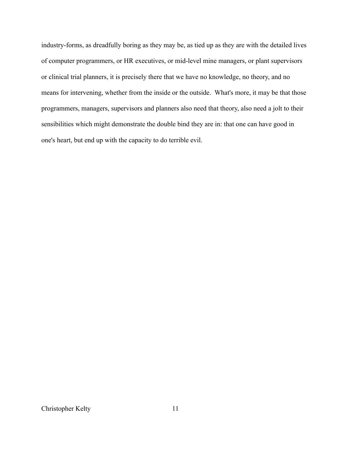industry-forms, as dreadfully boring as they may be, as tied up as they are with the detailed lives of computer programmers, or HR executives, or mid-level mine managers, or plant supervisors or clinical trial planners, it is precisely there that we have no knowledge, no theory, and no means for intervening, whether from the inside or the outside. What's more, it may be that those programmers, managers, supervisors and planners also need that theory, also need a jolt to their sensibilities which might demonstrate the double bind they are in: that one can have good in one's heart, but end up with the capacity to do terrible evil.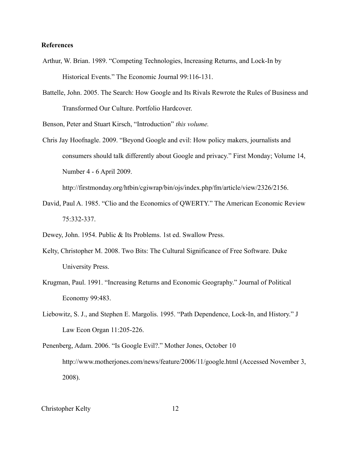## **References**

- Arthur, W. Brian. 1989. "Competing Technologies, Increasing Returns, and Lock-In by Historical Events." The Economic Journal 99:116-131.
- Battelle, John. 2005. The Search: How Google and Its Rivals Rewrote the Rules of Business and Transformed Our Culture. Portfolio Hardcover.

Benson, Peter and Stuart Kirsch, "Introduction" *this volume.*

Chris Jay Hoofnagle. 2009. "Beyond Google and evil: How policy makers, journalists and consumers should talk differently about Google and privacy." First Monday; Volume 14, Number 4 - 6 April 2009.

http://firstmonday.org/htbin/cgiwrap/bin/ojs/index.php/fm/article/view/2326/2156.

David, Paul A. 1985. "Clio and the Economics of QWERTY." The American Economic Review 75:332-337.

Dewey, John. 1954. Public & Its Problems. 1st ed. Swallow Press.

- Kelty, Christopher M. 2008. Two Bits: The Cultural Significance of Free Software. Duke University Press.
- Krugman, Paul. 1991. "Increasing Returns and Economic Geography." Journal of Political Economy 99:483.
- Liebowitz, S. J., and Stephen E. Margolis. 1995. "Path Dependence, Lock-In, and History." J Law Econ Organ 11:205-226.
- Penenberg, Adam. 2006. "Is Google Evil?." Mother Jones, October 10 http://www.motherjones.com/news/feature/2006/11/google.html (Accessed November 3, 2008).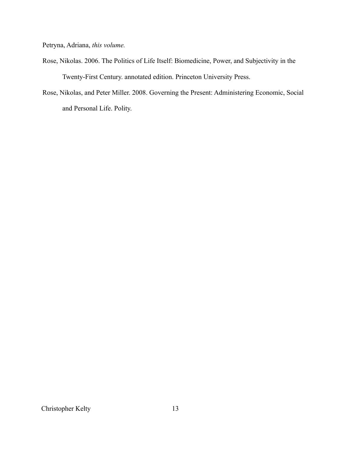Petryna, Adriana, *this volume.*

- Rose, Nikolas. 2006. The Politics of Life Itself: Biomedicine, Power, and Subjectivity in the Twenty-First Century. annotated edition. Princeton University Press.
- Rose, Nikolas, and Peter Miller. 2008. Governing the Present: Administering Economic, Social and Personal Life. Polity.